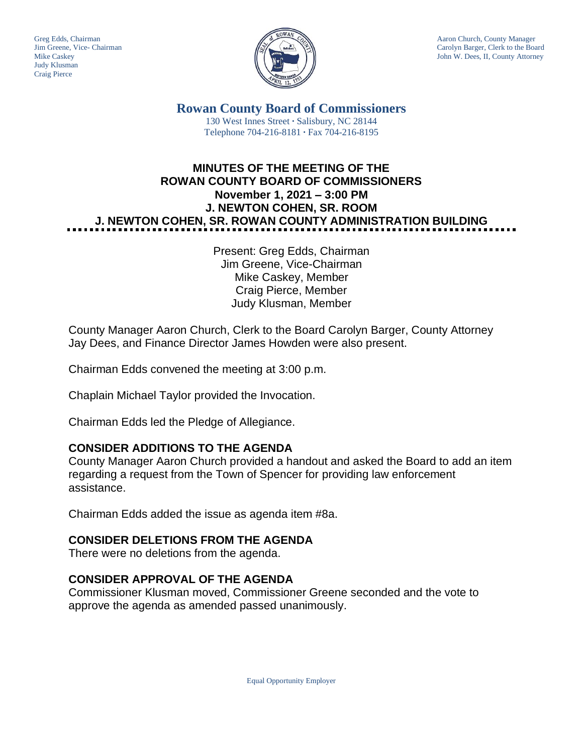Judy Klusman Craig Pierce



Greg Edds, Chairman Aaron Church, County Manager<br>Jim Greene, Vice- Chairman Aaron Church, County Manager and Aaron Church, County Manager and Aaron Church, County Manager Carolyn Barger, Clerk to the Board Mike Caskey John W. Dees, II, County Attorney

> **Rowan County Board of Commissioners** 130 West Innes Street **∙** Salisbury, NC 28144 Telephone 704-216-8181 **∙** Fax 704-216-8195

# **MINUTES OF THE MEETING OF THE ROWAN COUNTY BOARD OF COMMISSIONERS November 1, 2021 – 3:00 PM J. NEWTON COHEN, SR. ROOM J. NEWTON COHEN, SR. ROWAN COUNTY ADMINISTRATION BUILDING**

Present: Greg Edds, Chairman Jim Greene, Vice-Chairman Mike Caskey, Member Craig Pierce, Member Judy Klusman, Member

County Manager Aaron Church, Clerk to the Board Carolyn Barger, County Attorney Jay Dees, and Finance Director James Howden were also present.

Chairman Edds convened the meeting at 3:00 p.m.

Chaplain Michael Taylor provided the Invocation.

Chairman Edds led the Pledge of Allegiance.

# **CONSIDER ADDITIONS TO THE AGENDA**

County Manager Aaron Church provided a handout and asked the Board to add an item regarding a request from the Town of Spencer for providing law enforcement assistance.

Chairman Edds added the issue as agenda item #8a.

# **CONSIDER DELETIONS FROM THE AGENDA**

There were no deletions from the agenda.

# **CONSIDER APPROVAL OF THE AGENDA**

Commissioner Klusman moved, Commissioner Greene seconded and the vote to approve the agenda as amended passed unanimously.

Equal Opportunity Employer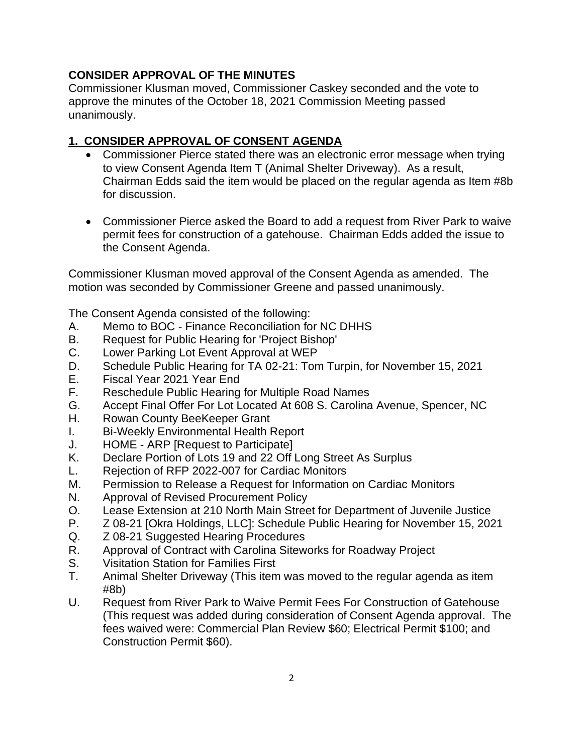### **CONSIDER APPROVAL OF THE MINUTES**

Commissioner Klusman moved, Commissioner Caskey seconded and the vote to approve the minutes of the October 18, 2021 Commission Meeting passed unanimously.

# **1. CONSIDER APPROVAL OF CONSENT AGENDA**

- Commissioner Pierce stated there was an electronic error message when trying to view Consent Agenda Item T (Animal Shelter Driveway). As a result, Chairman Edds said the item would be placed on the regular agenda as Item #8b for discussion.
- Commissioner Pierce asked the Board to add a request from River Park to waive permit fees for construction of a gatehouse. Chairman Edds added the issue to the Consent Agenda.

Commissioner Klusman moved approval of the Consent Agenda as amended. The motion was seconded by Commissioner Greene and passed unanimously.

The Consent Agenda consisted of the following:

- A. Memo to BOC Finance Reconciliation for NC DHHS
- B. Request for Public Hearing for 'Project Bishop'
- C. Lower Parking Lot Event Approval at WEP
- D. Schedule Public Hearing for TA 02-21: Tom Turpin, for November 15, 2021
- E. Fiscal Year 2021 Year End
- F. Reschedule Public Hearing for Multiple Road Names
- G. Accept Final Offer For Lot Located At 608 S. Carolina Avenue, Spencer, NC
- H. Rowan County BeeKeeper Grant
- I. Bi-Weekly Environmental Health Report
- J. HOME ARP [Request to Participate]
- K. Declare Portion of Lots 19 and 22 Off Long Street As Surplus
- L. Rejection of RFP 2022-007 for Cardiac Monitors
- M. Permission to Release a Request for Information on Cardiac Monitors
- N. Approval of Revised Procurement Policy
- O. Lease Extension at 210 North Main Street for Department of Juvenile Justice
- P. Z 08-21 [Okra Holdings, LLC]: Schedule Public Hearing for November 15, 2021
- Q. Z 08-21 Suggested Hearing Procedures
- R. Approval of Contract with Carolina Siteworks for Roadway Project
- S. Visitation Station for Families First
- T. Animal Shelter Driveway (This item was moved to the regular agenda as item #8b)
- U. Request from River Park to Waive Permit Fees For Construction of Gatehouse (This request was added during consideration of Consent Agenda approval. The fees waived were: Commercial Plan Review \$60; Electrical Permit \$100; and Construction Permit \$60).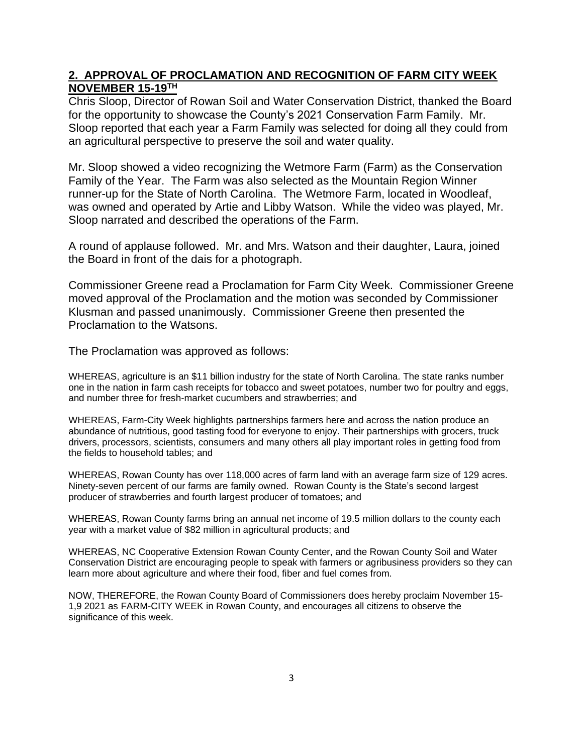#### **2. APPROVAL OF PROCLAMATION AND RECOGNITION OF FARM CITY WEEK NOVEMBER 15-19TH**

Chris Sloop, Director of Rowan Soil and Water Conservation District, thanked the Board for the opportunity to showcase the County's 2021 Conservation Farm Family. Mr. Sloop reported that each year a Farm Family was selected for doing all they could from an agricultural perspective to preserve the soil and water quality.

Mr. Sloop showed a video recognizing the Wetmore Farm (Farm) as the Conservation Family of the Year. The Farm was also selected as the Mountain Region Winner runner-up for the State of North Carolina. The Wetmore Farm, located in Woodleaf, was owned and operated by Artie and Libby Watson. While the video was played, Mr. Sloop narrated and described the operations of the Farm.

A round of applause followed. Mr. and Mrs. Watson and their daughter, Laura, joined the Board in front of the dais for a photograph.

Commissioner Greene read a Proclamation for Farm City Week. Commissioner Greene moved approval of the Proclamation and the motion was seconded by Commissioner Klusman and passed unanimously. Commissioner Greene then presented the Proclamation to the Watsons.

The Proclamation was approved as follows:

WHEREAS, agriculture is an \$11 billion industry for the state of North Carolina. The state ranks number one in the nation in farm cash receipts for tobacco and sweet potatoes, number two for poultry and eggs, and number three for fresh-market cucumbers and strawberries; and

WHEREAS, Farm-City Week highlights partnerships farmers here and across the nation produce an abundance of nutritious, good tasting food for everyone to enjoy. Their partnerships with grocers, truck drivers, processors, scientists, consumers and many others all play important roles in getting food from the fields to household tables; and

WHEREAS, Rowan County has over 118,000 acres of farm land with an average farm size of 129 acres. Ninety-seven percent of our farms are family owned. Rowan County is the State's second largest producer of strawberries and fourth largest producer of tomatoes; and

WHEREAS, Rowan County farms bring an annual net income of 19.5 million dollars to the county each year with a market value of \$82 million in agricultural products; and

WHEREAS, NC Cooperative Extension Rowan County Center, and the Rowan County Soil and Water Conservation District are encouraging people to speak with farmers or agribusiness providers so they can learn more about agriculture and where their food, fiber and fuel comes from.

NOW, THEREFORE, the Rowan County Board of Commissioners does hereby proclaim November 15- 1,9 2021 as FARM-CITY WEEK in Rowan County, and encourages all citizens to observe the significance of this week.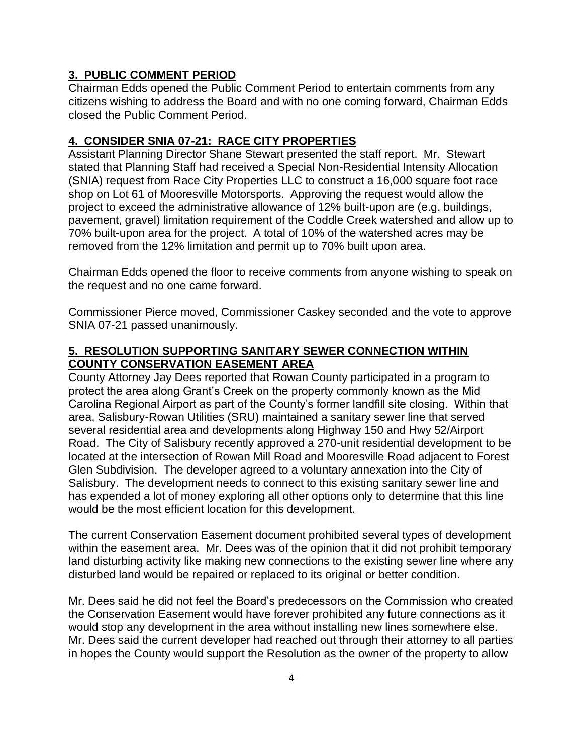### **3. PUBLIC COMMENT PERIOD**

Chairman Edds opened the Public Comment Period to entertain comments from any citizens wishing to address the Board and with no one coming forward, Chairman Edds closed the Public Comment Period.

## **4. CONSIDER SNIA 07-21: RACE CITY PROPERTIES**

Assistant Planning Director Shane Stewart presented the staff report. Mr. Stewart stated that Planning Staff had received a Special Non-Residential Intensity Allocation (SNIA) request from Race City Properties LLC to construct a 16,000 square foot race shop on Lot 61 of Mooresville Motorsports. Approving the request would allow the project to exceed the administrative allowance of 12% built-upon are (e.g. buildings, pavement, gravel) limitation requirement of the Coddle Creek watershed and allow up to 70% built-upon area for the project. A total of 10% of the watershed acres may be removed from the 12% limitation and permit up to 70% built upon area.

Chairman Edds opened the floor to receive comments from anyone wishing to speak on the request and no one came forward.

Commissioner Pierce moved, Commissioner Caskey seconded and the vote to approve SNIA 07-21 passed unanimously.

## **5. RESOLUTION SUPPORTING SANITARY SEWER CONNECTION WITHIN COUNTY CONSERVATION EASEMENT AREA**

County Attorney Jay Dees reported that Rowan County participated in a program to protect the area along Grant's Creek on the property commonly known as the Mid Carolina Regional Airport as part of the County's former landfill site closing. Within that area, Salisbury-Rowan Utilities (SRU) maintained a sanitary sewer line that served several residential area and developments along Highway 150 and Hwy 52/Airport Road. The City of Salisbury recently approved a 270-unit residential development to be located at the intersection of Rowan Mill Road and Mooresville Road adjacent to Forest Glen Subdivision. The developer agreed to a voluntary annexation into the City of Salisbury. The development needs to connect to this existing sanitary sewer line and has expended a lot of money exploring all other options only to determine that this line would be the most efficient location for this development.

The current Conservation Easement document prohibited several types of development within the easement area. Mr. Dees was of the opinion that it did not prohibit temporary land disturbing activity like making new connections to the existing sewer line where any disturbed land would be repaired or replaced to its original or better condition.

Mr. Dees said he did not feel the Board's predecessors on the Commission who created the Conservation Easement would have forever prohibited any future connections as it would stop any development in the area without installing new lines somewhere else. Mr. Dees said the current developer had reached out through their attorney to all parties in hopes the County would support the Resolution as the owner of the property to allow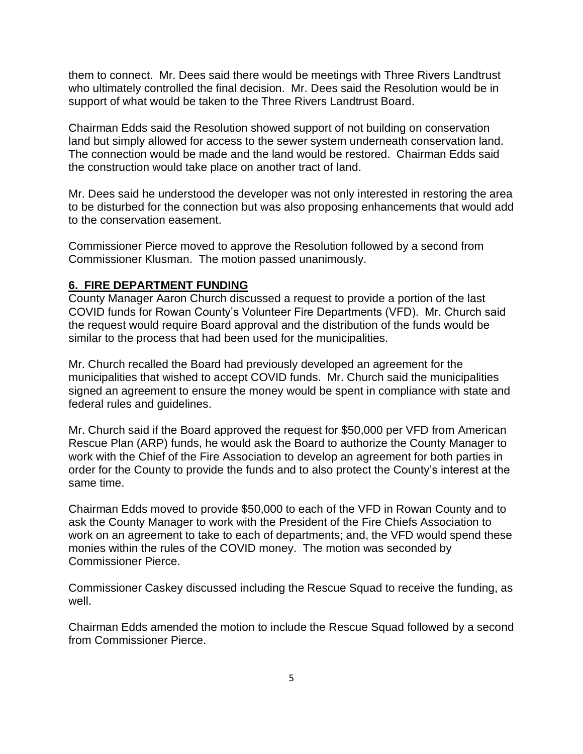them to connect. Mr. Dees said there would be meetings with Three Rivers Landtrust who ultimately controlled the final decision. Mr. Dees said the Resolution would be in support of what would be taken to the Three Rivers Landtrust Board.

Chairman Edds said the Resolution showed support of not building on conservation land but simply allowed for access to the sewer system underneath conservation land. The connection would be made and the land would be restored. Chairman Edds said the construction would take place on another tract of land.

Mr. Dees said he understood the developer was not only interested in restoring the area to be disturbed for the connection but was also proposing enhancements that would add to the conservation easement.

Commissioner Pierce moved to approve the Resolution followed by a second from Commissioner Klusman. The motion passed unanimously.

### **6. FIRE DEPARTMENT FUNDING**

County Manager Aaron Church discussed a request to provide a portion of the last COVID funds for Rowan County's Volunteer Fire Departments (VFD). Mr. Church said the request would require Board approval and the distribution of the funds would be similar to the process that had been used for the municipalities.

Mr. Church recalled the Board had previously developed an agreement for the municipalities that wished to accept COVID funds. Mr. Church said the municipalities signed an agreement to ensure the money would be spent in compliance with state and federal rules and guidelines.

Mr. Church said if the Board approved the request for \$50,000 per VFD from American Rescue Plan (ARP) funds, he would ask the Board to authorize the County Manager to work with the Chief of the Fire Association to develop an agreement for both parties in order for the County to provide the funds and to also protect the County's interest at the same time.

Chairman Edds moved to provide \$50,000 to each of the VFD in Rowan County and to ask the County Manager to work with the President of the Fire Chiefs Association to work on an agreement to take to each of departments; and, the VFD would spend these monies within the rules of the COVID money. The motion was seconded by Commissioner Pierce.

Commissioner Caskey discussed including the Rescue Squad to receive the funding, as well.

Chairman Edds amended the motion to include the Rescue Squad followed by a second from Commissioner Pierce.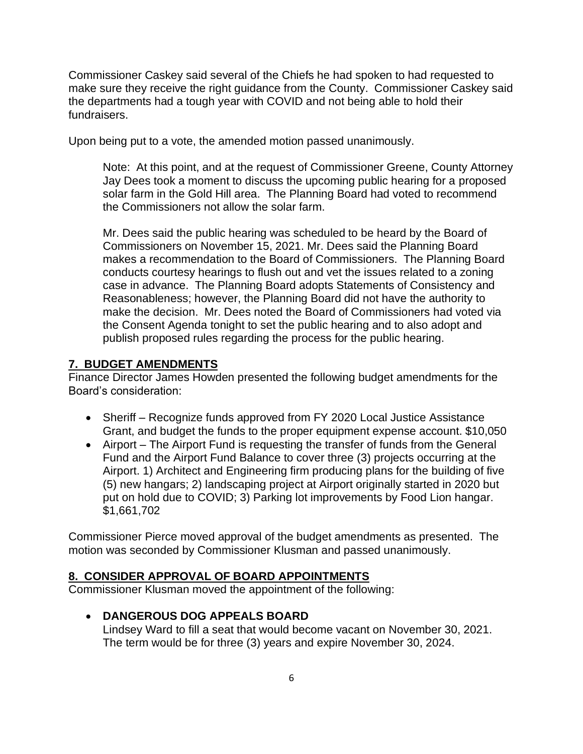Commissioner Caskey said several of the Chiefs he had spoken to had requested to make sure they receive the right guidance from the County. Commissioner Caskey said the departments had a tough year with COVID and not being able to hold their fundraisers.

Upon being put to a vote, the amended motion passed unanimously.

Note: At this point, and at the request of Commissioner Greene, County Attorney Jay Dees took a moment to discuss the upcoming public hearing for a proposed solar farm in the Gold Hill area. The Planning Board had voted to recommend the Commissioners not allow the solar farm.

Mr. Dees said the public hearing was scheduled to be heard by the Board of Commissioners on November 15, 2021. Mr. Dees said the Planning Board makes a recommendation to the Board of Commissioners. The Planning Board conducts courtesy hearings to flush out and vet the issues related to a zoning case in advance. The Planning Board adopts Statements of Consistency and Reasonableness; however, the Planning Board did not have the authority to make the decision. Mr. Dees noted the Board of Commissioners had voted via the Consent Agenda tonight to set the public hearing and to also adopt and publish proposed rules regarding the process for the public hearing.

#### **7. BUDGET AMENDMENTS**

Finance Director James Howden presented the following budget amendments for the Board's consideration:

- Sheriff Recognize funds approved from FY 2020 Local Justice Assistance Grant, and budget the funds to the proper equipment expense account. \$10,050
- Airport The Airport Fund is requesting the transfer of funds from the General Fund and the Airport Fund Balance to cover three (3) projects occurring at the Airport. 1) Architect and Engineering firm producing plans for the building of five (5) new hangars; 2) landscaping project at Airport originally started in 2020 but put on hold due to COVID; 3) Parking lot improvements by Food Lion hangar. \$1,661,702

Commissioner Pierce moved approval of the budget amendments as presented. The motion was seconded by Commissioner Klusman and passed unanimously.

#### **8. CONSIDER APPROVAL OF BOARD APPOINTMENTS**

Commissioner Klusman moved the appointment of the following:

#### • **DANGEROUS DOG APPEALS BOARD**

Lindsey Ward to fill a seat that would become vacant on November 30, 2021. The term would be for three (3) years and expire November 30, 2024.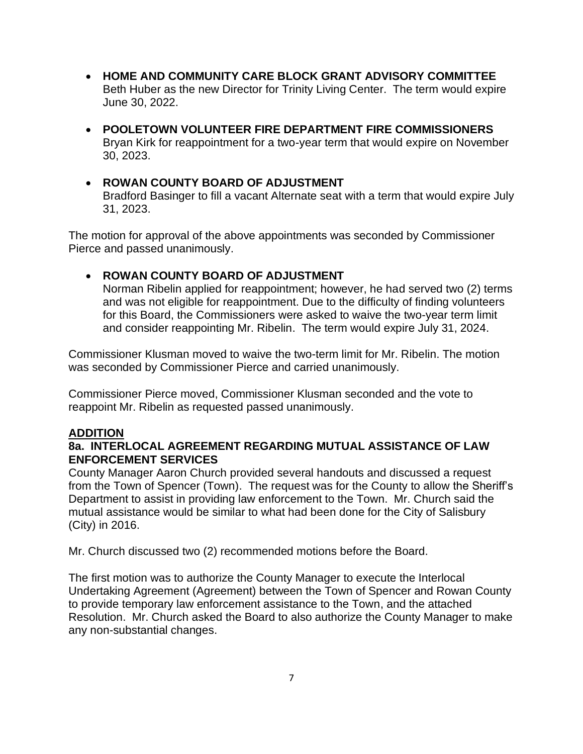- **HOME AND COMMUNITY CARE BLOCK GRANT ADVISORY COMMITTEE** Beth Huber as the new Director for Trinity Living Center. The term would expire June 30, 2022.
- **POOLETOWN VOLUNTEER FIRE DEPARTMENT FIRE COMMISSIONERS** Bryan Kirk for reappointment for a two-year term that would expire on November 30, 2023.

# • **ROWAN COUNTY BOARD OF ADJUSTMENT**  Bradford Basinger to fill a vacant Alternate seat with a term that would expire July 31, 2023.

The motion for approval of the above appointments was seconded by Commissioner Pierce and passed unanimously.

# • **ROWAN COUNTY BOARD OF ADJUSTMENT**

Norman Ribelin applied for reappointment; however, he had served two (2) terms and was not eligible for reappointment. Due to the difficulty of finding volunteers for this Board, the Commissioners were asked to waive the two-year term limit and consider reappointing Mr. Ribelin. The term would expire July 31, 2024.

Commissioner Klusman moved to waive the two-term limit for Mr. Ribelin. The motion was seconded by Commissioner Pierce and carried unanimously.

Commissioner Pierce moved, Commissioner Klusman seconded and the vote to reappoint Mr. Ribelin as requested passed unanimously.

# **ADDITION**

### **8a. INTERLOCAL AGREEMENT REGARDING MUTUAL ASSISTANCE OF LAW ENFORCEMENT SERVICES**

County Manager Aaron Church provided several handouts and discussed a request from the Town of Spencer (Town). The request was for the County to allow the Sheriff's Department to assist in providing law enforcement to the Town. Mr. Church said the mutual assistance would be similar to what had been done for the City of Salisbury (City) in 2016.

Mr. Church discussed two (2) recommended motions before the Board.

The first motion was to authorize the County Manager to execute the Interlocal Undertaking Agreement (Agreement) between the Town of Spencer and Rowan County to provide temporary law enforcement assistance to the Town, and the attached Resolution. Mr. Church asked the Board to also authorize the County Manager to make any non-substantial changes.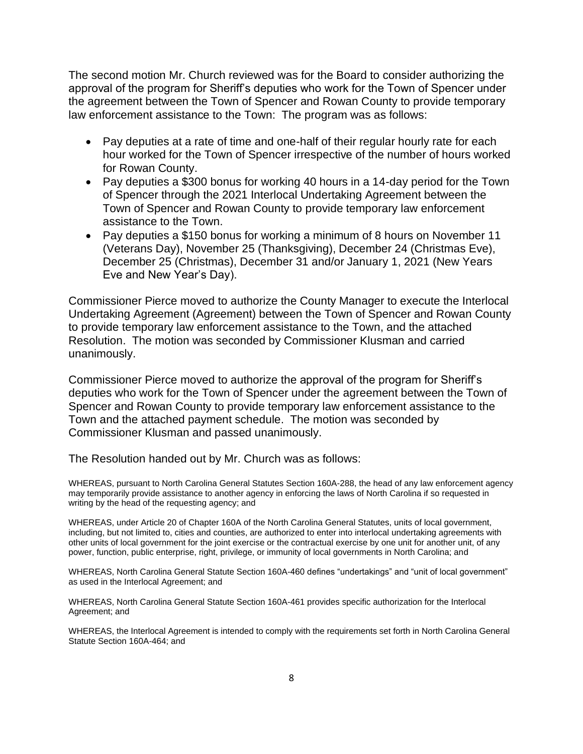The second motion Mr. Church reviewed was for the Board to consider authorizing the approval of the program for Sheriff's deputies who work for the Town of Spencer under the agreement between the Town of Spencer and Rowan County to provide temporary law enforcement assistance to the Town: The program was as follows:

- Pay deputies at a rate of time and one-half of their regular hourly rate for each hour worked for the Town of Spencer irrespective of the number of hours worked for Rowan County.
- Pay deputies a \$300 bonus for working 40 hours in a 14-day period for the Town of Spencer through the 2021 Interlocal Undertaking Agreement between the Town of Spencer and Rowan County to provide temporary law enforcement assistance to the Town.
- Pay deputies a \$150 bonus for working a minimum of 8 hours on November 11 (Veterans Day), November 25 (Thanksgiving), December 24 (Christmas Eve), December 25 (Christmas), December 31 and/or January 1, 2021 (New Years Eve and New Year's Day).

Commissioner Pierce moved to authorize the County Manager to execute the Interlocal Undertaking Agreement (Agreement) between the Town of Spencer and Rowan County to provide temporary law enforcement assistance to the Town, and the attached Resolution. The motion was seconded by Commissioner Klusman and carried unanimously.

Commissioner Pierce moved to authorize the approval of the program for Sheriff's deputies who work for the Town of Spencer under the agreement between the Town of Spencer and Rowan County to provide temporary law enforcement assistance to the Town and the attached payment schedule. The motion was seconded by Commissioner Klusman and passed unanimously.

The Resolution handed out by Mr. Church was as follows:

WHEREAS, pursuant to North Carolina General Statutes Section 160A-288, the head of any law enforcement agency may temporarily provide assistance to another agency in enforcing the laws of North Carolina if so requested in writing by the head of the requesting agency; and

WHEREAS, under Article 20 of Chapter 160A of the North Carolina General Statutes, units of local government, including, but not limited to, cities and counties, are authorized to enter into interlocal undertaking agreements with other units of local government for the joint exercise or the contractual exercise by one unit for another unit, of any power, function, public enterprise, right, privilege, or immunity of local governments in North Carolina; and

WHEREAS, North Carolina General Statute Section 160A-460 defines "undertakings" and "unit of local government" as used in the Interlocal Agreement; and

WHEREAS, North Carolina General Statute Section 160A-461 provides specific authorization for the Interlocal Agreement; and

WHEREAS, the Interlocal Agreement is intended to comply with the requirements set forth in North Carolina General Statute Section 160A-464; and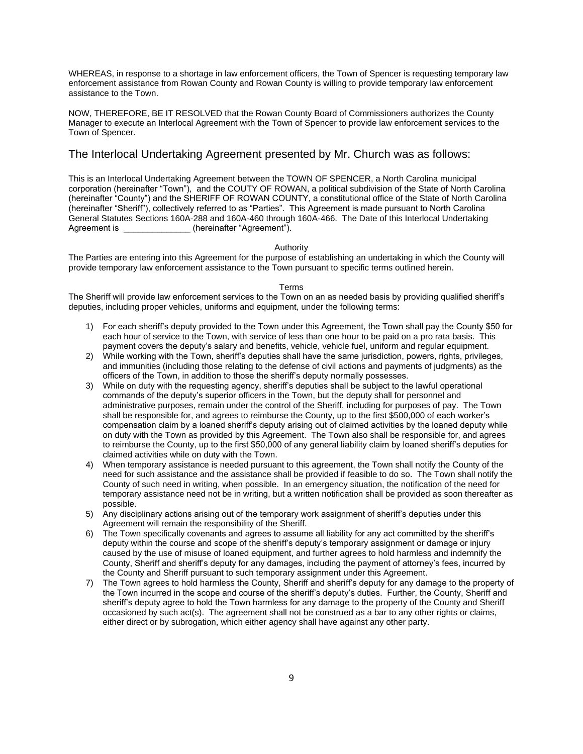WHEREAS, in response to a shortage in law enforcement officers, the Town of Spencer is requesting temporary law enforcement assistance from Rowan County and Rowan County is willing to provide temporary law enforcement assistance to the Town.

NOW, THEREFORE, BE IT RESOLVED that the Rowan County Board of Commissioners authorizes the County Manager to execute an Interlocal Agreement with the Town of Spencer to provide law enforcement services to the Town of Spencer.

#### The Interlocal Undertaking Agreement presented by Mr. Church was as follows:

This is an Interlocal Undertaking Agreement between the TOWN OF SPENCER, a North Carolina municipal corporation (hereinafter "Town"), and the COUTY OF ROWAN, a political subdivision of the State of North Carolina (hereinafter "County") and the SHERIFF OF ROWAN COUNTY, a constitutional office of the State of North Carolina (hereinafter "Sheriff"), collectively referred to as "Parties". This Agreement is made pursuant to North Carolina General Statutes Sections 160A-288 and 160A-460 through 160A-466. The Date of this Interlocal Undertaking Agreement is  $\qquad \qquad$  (hereinafter "Agreement").

#### Authority

The Parties are entering into this Agreement for the purpose of establishing an undertaking in which the County will provide temporary law enforcement assistance to the Town pursuant to specific terms outlined herein.

#### Terms

The Sheriff will provide law enforcement services to the Town on an as needed basis by providing qualified sheriff's deputies, including proper vehicles, uniforms and equipment, under the following terms:

- 1) For each sheriff's deputy provided to the Town under this Agreement, the Town shall pay the County \$50 for each hour of service to the Town, with service of less than one hour to be paid on a pro rata basis. This payment covers the deputy's salary and benefits, vehicle, vehicle fuel, uniform and regular equipment.
- 2) While working with the Town, sheriff's deputies shall have the same jurisdiction, powers, rights, privileges, and immunities (including those relating to the defense of civil actions and payments of judgments) as the officers of the Town, in addition to those the sheriff's deputy normally possesses.
- 3) While on duty with the requesting agency, sheriff's deputies shall be subject to the lawful operational commands of the deputy's superior officers in the Town, but the deputy shall for personnel and administrative purposes, remain under the control of the Sheriff, including for purposes of pay. The Town shall be responsible for, and agrees to reimburse the County, up to the first \$500,000 of each worker's compensation claim by a loaned sheriff's deputy arising out of claimed activities by the loaned deputy while on duty with the Town as provided by this Agreement. The Town also shall be responsible for, and agrees to reimburse the County, up to the first \$50,000 of any general liability claim by loaned sheriff's deputies for claimed activities while on duty with the Town.
- 4) When temporary assistance is needed pursuant to this agreement, the Town shall notify the County of the need for such assistance and the assistance shall be provided if feasible to do so. The Town shall notify the County of such need in writing, when possible. In an emergency situation, the notification of the need for temporary assistance need not be in writing, but a written notification shall be provided as soon thereafter as possible.
- 5) Any disciplinary actions arising out of the temporary work assignment of sheriff's deputies under this Agreement will remain the responsibility of the Sheriff.
- 6) The Town specifically covenants and agrees to assume all liability for any act committed by the sheriff's deputy within the course and scope of the sheriff's deputy's temporary assignment or damage or injury caused by the use of misuse of loaned equipment, and further agrees to hold harmless and indemnify the County, Sheriff and sheriff's deputy for any damages, including the payment of attorney's fees, incurred by the County and Sheriff pursuant to such temporary assignment under this Agreement.
- 7) The Town agrees to hold harmless the County, Sheriff and sheriff's deputy for any damage to the property of the Town incurred in the scope and course of the sheriff's deputy's duties. Further, the County, Sheriff and sheriff's deputy agree to hold the Town harmless for any damage to the property of the County and Sheriff occasioned by such act(s). The agreement shall not be construed as a bar to any other rights or claims, either direct or by subrogation, which either agency shall have against any other party.